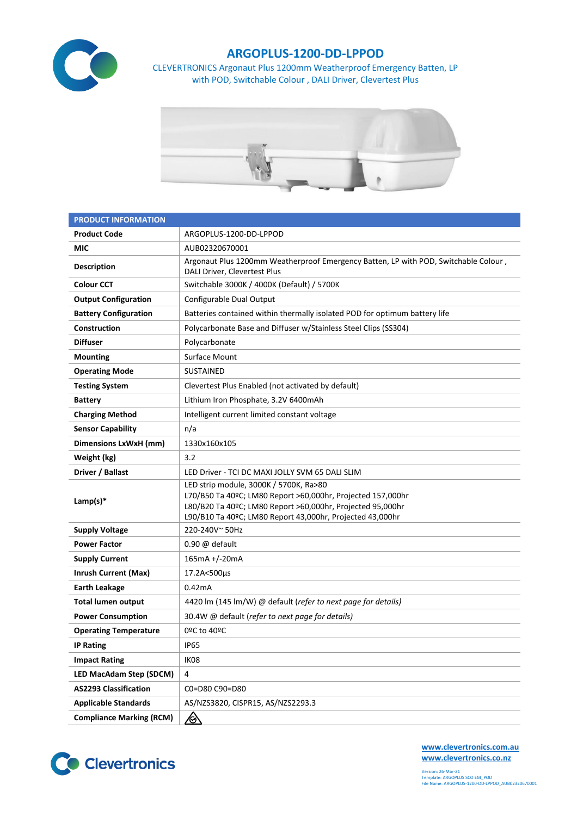

## **ARGOPLUS-1200-DD-LPPOD**

CLEVERTRONICS Argonaut Plus 1200mm Weatherproof Emergency Batten, LP with POD, Switchable Colour , DALI Driver, Clevertest Plus



| <b>PRODUCT INFORMATION</b>      |                                                                                                                                                                                                                                  |  |  |  |
|---------------------------------|----------------------------------------------------------------------------------------------------------------------------------------------------------------------------------------------------------------------------------|--|--|--|
| <b>Product Code</b>             | ARGOPLUS-1200-DD-LPPOD                                                                                                                                                                                                           |  |  |  |
| MIC                             | AUB02320670001                                                                                                                                                                                                                   |  |  |  |
| <b>Description</b>              | Argonaut Plus 1200mm Weatherproof Emergency Batten, LP with POD, Switchable Colour,<br>DALI Driver, Clevertest Plus                                                                                                              |  |  |  |
| <b>Colour CCT</b>               | Switchable 3000K / 4000K (Default) / 5700K                                                                                                                                                                                       |  |  |  |
| <b>Output Configuration</b>     | Configurable Dual Output                                                                                                                                                                                                         |  |  |  |
| <b>Battery Configuration</b>    | Batteries contained within thermally isolated POD for optimum battery life                                                                                                                                                       |  |  |  |
| Construction                    | Polycarbonate Base and Diffuser w/Stainless Steel Clips (SS304)                                                                                                                                                                  |  |  |  |
| <b>Diffuser</b>                 | Polycarbonate                                                                                                                                                                                                                    |  |  |  |
| <b>Mounting</b>                 | Surface Mount                                                                                                                                                                                                                    |  |  |  |
| <b>Operating Mode</b>           | <b>SUSTAINED</b>                                                                                                                                                                                                                 |  |  |  |
| <b>Testing System</b>           | Clevertest Plus Enabled (not activated by default)                                                                                                                                                                               |  |  |  |
| <b>Battery</b>                  | Lithium Iron Phosphate, 3.2V 6400mAh                                                                                                                                                                                             |  |  |  |
| <b>Charging Method</b>          | Intelligent current limited constant voltage                                                                                                                                                                                     |  |  |  |
| <b>Sensor Capability</b>        | n/a                                                                                                                                                                                                                              |  |  |  |
| Dimensions LxWxH (mm)           | 1330x160x105                                                                                                                                                                                                                     |  |  |  |
| Weight (kg)                     | 3.2                                                                                                                                                                                                                              |  |  |  |
| Driver / Ballast                | LED Driver - TCI DC MAXI JOLLY SVM 65 DALI SLIM                                                                                                                                                                                  |  |  |  |
| Lamp(s) $*$                     | LED strip module, 3000K / 5700K, Ra>80<br>L70/B50 Ta 40ºC; LM80 Report >60,000hr, Projected 157,000hr<br>L80/B20 Ta 40ºC; LM80 Report >60,000hr, Projected 95,000hr<br>L90/B10 Ta 40°C; LM80 Report 43,000hr, Projected 43,000hr |  |  |  |
| <b>Supply Voltage</b>           | 220-240V~50Hz                                                                                                                                                                                                                    |  |  |  |
| <b>Power Factor</b>             | $0.90 \omega$ default                                                                                                                                                                                                            |  |  |  |
| <b>Supply Current</b>           | 165mA +/-20mA                                                                                                                                                                                                                    |  |  |  |
| <b>Inrush Current (Max)</b>     | 17.2A<500µs                                                                                                                                                                                                                      |  |  |  |
| <b>Earth Leakage</b>            | 0.42mA                                                                                                                                                                                                                           |  |  |  |
| <b>Total lumen output</b>       | 4420 lm (145 lm/W) @ default (refer to next page for details)                                                                                                                                                                    |  |  |  |
| <b>Power Consumption</b>        | 30.4W @ default (refer to next page for details)                                                                                                                                                                                 |  |  |  |
| <b>Operating Temperature</b>    | 0ºC to 40ºC                                                                                                                                                                                                                      |  |  |  |
| <b>IP Rating</b>                | <b>IP65</b>                                                                                                                                                                                                                      |  |  |  |
| <b>Impact Rating</b>            | IK08                                                                                                                                                                                                                             |  |  |  |
| <b>LED MacAdam Step (SDCM)</b>  | 4                                                                                                                                                                                                                                |  |  |  |
| <b>AS2293 Classification</b>    | C0=D80 C90=D80                                                                                                                                                                                                                   |  |  |  |
| <b>Applicable Standards</b>     | AS/NZS3820, CISPR15, AS/NZS2293.3                                                                                                                                                                                                |  |  |  |
| <b>Compliance Marking (RCM)</b> | <u>/&amp;</u>                                                                                                                                                                                                                    |  |  |  |



**[www.clevertronics.com.au](http://www.clevertronics.com.au/) www.clevertronics.co.nz**

Version: 26-Mar-21 Template: ARGOPLUS SCO EM\_POD File Name: ARGOPLUS-1200-DD-LPPOD\_AUB02320670001